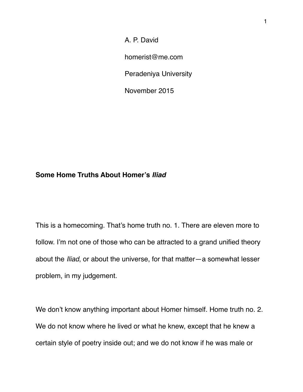A. P. David

homerist@me.com

Peradeniya University

November 2015

## **Some Home Truths About Homer's** *Iliad*

This is a homecoming. That's home truth no. 1. There are eleven more to follow. I'm not one of those who can be attracted to a grand unified theory about the *Iliad*, or about the universe, for that matter—a somewhat lesser problem, in my judgement.

We don't know anything important about Homer himself. Home truth no. 2. We do not know where he lived or what he knew, except that he knew a certain style of poetry inside out; and we do not know if he was male or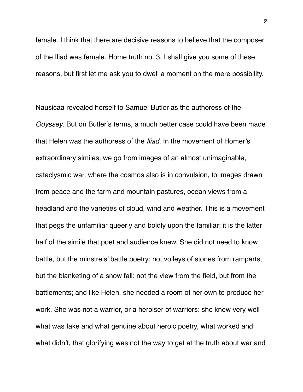female. I think that there are decisive reasons to believe that the composer of the Iliad was female. Home truth no. 3. I shall give you some of these reasons, but first let me ask you to dwell a moment on the mere possibility.

Nausicaa revealed herself to Samuel Butler as the authoress of the *Odyssey*. But on Butler's terms, a much better case could have been made that Helen was the authoress of the *Iliad*. In the movement of Homer's extraordinary similes, we go from images of an almost unimaginable, cataclysmic war, where the cosmos also is in convulsion, to images drawn from peace and the farm and mountain pastures, ocean views from a headland and the varieties of cloud, wind and weather. This is a movement that pegs the unfamiliar queerly and boldly upon the familiar: it is the latter half of the simile that poet and audience knew. She did not need to know battle, but the minstrels' battle poetry; not volleys of stones from ramparts, but the blanketing of a snow fall; not the view from the field, but from the battlements; and like Helen, she needed a room of her own to produce her work. She was not a warrior, or a heroiser of warriors: she knew very well what was fake and what genuine about heroic poetry, what worked and what didn't, that glorifying was not the way to get at the truth about war and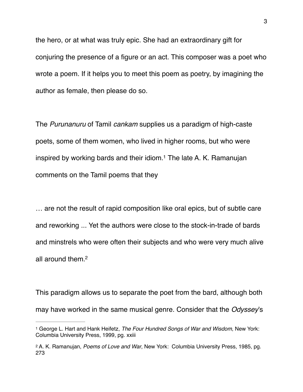the hero, or at what was truly epic. She had an extraordinary gift for conjuring the presence of a figure or an act. This composer was a poet who wrote a poem. If it helps you to meet this poem as poetry, by imagining the author as female, then please do so.

<span id="page-2-2"></span>The *Purunanuru* of Tamil *cankam* supplies us a paradigm of high-caste poets, some of them women, who lived in higher rooms, but who were inspired by working bards and their idiom.<sup>1</sup> The late A[.](#page-2-0) K. Ramanujan comments on the Tamil poems that they

… are not the result of rapid composition like oral epics, but of subtle care and reworking ... Yet the authors were close to the stock-in-trade of bards and minstrels who were often their subjects and who were very much alive all around them[.2](#page-2-1)

<span id="page-2-3"></span>This paradigm allows us to separate the poet from the bard, although both may have worked in the same musical genre. Consider that the *Odyssey*'s

<span id="page-2-0"></span>[<sup>1</sup>](#page-2-2) George L. Hart and Hank Heifetz, *The Four Hundred Songs of War and Wisdom*, New York: Columbia University Press, 1999, pg. xxiii

<span id="page-2-1"></span>[<sup>2</sup>](#page-2-3) A. K. Ramanujan, *Poems of Love and War*, New York: Columbia University Press, 1985, pg. 273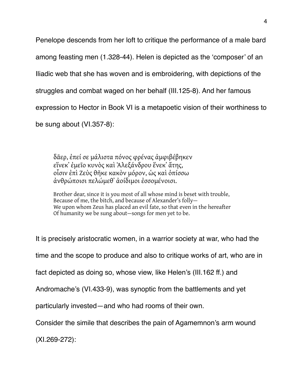Penelope descends from her loft to critique the performance of a male bard among feasting men (1.328-44). Helen is depicted as the 'composer' of an Iliadic web that she has woven and is embroidering, with depictions of the struggles and combat waged on her behalf (III.125-8). And her famous expression to Hector in Book VI is a metapoetic vision of their worthiness to be sung about (VI.357-8):

[δᾶερ](http://www.perseus.tufts.edu/hopper/morph?l=da%3Der&la=greek&can=da%3Der1&prior=di/frw%7C), [ἐπεί](http://www.perseus.tufts.edu/hopper/morph?l=e%29pei%2F&la=greek&can=e%29pei%2F1&prior=da=er) [σε](http://www.perseus.tufts.edu/hopper/morph?l=se&la=greek&can=se0&prior=e)pei/) [μάλιστα](http://www.perseus.tufts.edu/hopper/morph?l=ma%2Flista&la=greek&can=ma%2Flista0&prior=se) [πόνος](http://www.perseus.tufts.edu/hopper/morph?l=po%2Fnos&la=greek&can=po%2Fnos0&prior=ma/lista) [φρένας](http://www.perseus.tufts.edu/hopper/morph?l=fre%2Fnas&la=greek&can=fre%2Fnas0&prior=po/nos) [ἀμφιβέβηκεν](http://www.perseus.tufts.edu/hopper/morph?l=a%29mfibe%2Fbhken&la=greek&can=a%29mfibe%2Fbhken0&prior=fre/nas) [εἵνεκ᾽](http://www.perseus.tufts.edu/hopper/morph?l=ei%28%2Fnek%27&la=greek&can=ei%28%2Fnek%270&prior=a)mfibe/bhken) [ἐμεῖο](http://www.perseus.tufts.edu/hopper/morph?l=e%29mei%3Do&la=greek&can=e%29mei%3Do1&prior=ei(/nek) [κυνὸς](http://www.perseus.tufts.edu/hopper/morph?l=kuno%5Cs&la=greek&can=kuno%5Cs1&prior=e)mei=o) [καὶ](http://www.perseus.tufts.edu/hopper/morph?l=kai%5C&la=greek&can=kai%5C3&prior=kuno%5Cs) [Ἀλεξάνδρου](http://www.perseus.tufts.edu/hopper/morph?l=*%29aleca%2Fndrou&la=greek&can=*%29aleca%2Fndrou0&prior=kai%5C) [ἕνεκ᾽](http://www.perseus.tufts.edu/hopper/morph?l=e%28%2Fnek%27&la=greek&can=e%28%2Fnek%270&prior=*)aleca/ndrou) [ἄτης](http://www.perseus.tufts.edu/hopper/morph?l=a%29%2Fths&la=greek&can=a%29%2Fths0&prior=e(/nek), [οἷσιν](http://www.perseus.tufts.edu/hopper/morph?l=oi%28%3Dsin&la=greek&can=oi%28%3Dsin0&prior=a)/ths) [ἐπὶ](http://www.perseus.tufts.edu/hopper/morph?l=e%29pi%5C&la=greek&can=e%29pi%5C1&prior=oi(=sin) [Ζεὺς](http://www.perseus.tufts.edu/hopper/morph?l=*zeu%5Cs&la=greek&can=*zeu%5Cs0&prior=e)pi%5C) [θῆκε](http://www.perseus.tufts.edu/hopper/morph?l=qh%3Dke&la=greek&can=qh%3Dke0&prior=*zeu%5Cs) [κακὸν](http://www.perseus.tufts.edu/hopper/morph?l=kako%5Cn&la=greek&can=kako%5Cn0&prior=qh=ke) [μόρον](http://www.perseus.tufts.edu/hopper/morph?l=mo%2Fron&la=greek&can=mo%2Fron0&prior=kako%5Cn), [ὡς](http://www.perseus.tufts.edu/hopper/morph?l=w%28s&la=greek&can=w%28s0&prior=mo/ron) [καὶ](http://www.perseus.tufts.edu/hopper/morph?l=kai%5C&la=greek&can=kai%5C4&prior=w(s) [ὀπίσσω](http://www.perseus.tufts.edu/hopper/morph?l=o%29pi%2Fssw&la=greek&can=o%29pi%2Fssw1&prior=kai%5C) [ἀνθρώποισι](http://www.perseus.tufts.edu/hopper/morph?l=a%29nqrw%2Fpoisi&la=greek&can=a%29nqrw%2Fpoisi0&prior=o)pi/ssw) [πελώμεθ᾽](http://www.perseus.tufts.edu/hopper/morph?l=pelw%2Fmeq%27&la=greek&can=pelw%2Fmeq%270&prior=a)nqrw/poisi) [ἀοίδιμοι](http://www.perseus.tufts.edu/hopper/morph?l=a%29oi%2Fdimoi&la=greek&can=a%29oi%2Fdimoi0&prior=pelw/meq) [ἐσσομένοισι](http://www.perseus.tufts.edu/hopper/morph?l=e%29ssome%2Fnoisi&la=greek&can=e%29ssome%2Fnoisi0&prior=a)oi/dimoi).

Brother dear, since it is you most of all whose mind is beset with trouble, Because of me, the bitch, and because of Alexander's folly— We upon whom Zeus has placed an evil fate, so that even in the hereafter Of humanity we be sung about—songs for men yet to be.

It is precisely aristocratic women, in a warrior society at war, who had the

time and the scope to produce and also to critique works of art, who are in

fact depicted as doing so, whose view, like Helen's (III.162 ff.) and

Andromache's (VI.433-9), was synoptic from the battlements and yet

particularly invested—and who had rooms of their own.

Consider the simile that describes the pain of Agamemnon's arm wound

(XI.269-272):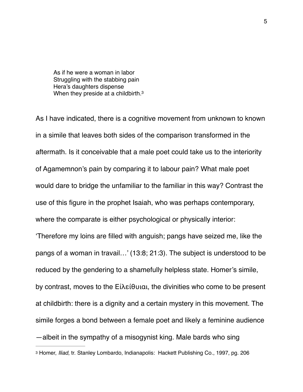<span id="page-4-1"></span>As if he were a woman in labor Struggling with the stabbing pain Hera's daughters dispense When they preside at a childbirth.<sup>3</sup>

As I have indicated, there is a cognitive movement from unknown to known in a simile that leaves both sides of the comparison transformed in the aftermath. Is it conceivable that a male poet could take us to the interiority of Agamemnon's pain by comparing it to labour pain? What male poet would dare to bridge the unfamiliar to the familiar in this way? Contrast the use of this figure in the prophet Isaiah, who was perhaps contemporary, where the comparate is either psychological or physically interior: 'Therefore my loins are filled with anguish; pangs have seized me, like the pangs of a woman in travail…' (13:8; 21:3). The subject is understood to be reduced by the gendering to a shamefully helpless state. Homer's simile,

<span id="page-4-0"></span>by contrast, moves to the Εἰλείθυιαι, the divinities who come to be present at childbirth: there is a dignity and a certain mystery in this movement. The simile forges a bond between a female poet and likely a feminine audience —albeit in the sympathy of a misogynist king. Male bards who sing [3](#page-4-1) Homer, *Iliad*, tr. Stanley Lombardo, Indianapolis: Hackett Publishing Co., 1997, pg. 206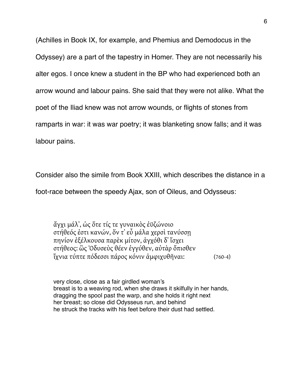(Achilles in Book IX, for example, and Phemius and Demodocus in the Odyssey) are a part of the tapestry in Homer. They are not necessarily his alter egos. I once knew a student in the BP who had experienced both an arrow wound and labour pains. She said that they were not alike. What the poet of the Iliad knew was not arrow wounds, or flights of stones from ramparts in war: it was war poetry; it was blanketing snow falls; and it was labour pains.

Consider also the simile from Book XXIII, which describes the distance in a

foot-race between the speedy Ajax, son of Oileus, and Odysseus:

[ἄγχι](http://www.perseus.tufts.edu/hopper/morph?l=a%29%2Fgxi&la=greek&can=a%29%2Fgxi0&prior=*)odusseu%5Cs) [μάλ᾽](http://www.perseus.tufts.edu/hopper/morph?l=ma%2Fl%27&la=greek&can=ma%2Fl%270&prior=a)/gxi), [ὡς](http://www.perseus.tufts.edu/hopper/morph?l=w%28s&la=greek&can=w%28s0&prior=ma/l) [ὅτε](http://www.perseus.tufts.edu/hopper/morph?l=o%28%2Fte&la=greek&can=o%28%2Fte0&prior=w(s) [τίς](http://www.perseus.tufts.edu/hopper/morph?l=ti%2Fs&la=greek&can=ti%2Fs0&prior=o(/te) [τε](http://www.perseus.tufts.edu/hopper/morph?l=te&la=greek&can=te0&prior=ti/s) [γυναικὸς](http://www.perseus.tufts.edu/hopper/morph?l=gunaiko%5Cs&la=greek&can=gunaiko%5Cs0&prior=te) [ἐϋζώνοιο](http://www.perseus.tufts.edu/hopper/morph?l=e%29u%2Bzw%2Fnoio&la=greek&can=e%29u%2Bzw%2Fnoio0&prior=gunaiko%5Cs) [στήθεός](http://www.perseus.tufts.edu/hopper/morph?l=sth%2Fqeo%2Fs&la=greek&can=sth%2Fqeo%2Fs0&prior=e)u+zw/noio) [ἐστι](http://www.perseus.tufts.edu/hopper/morph?l=e%29sti&la=greek&can=e%29sti0&prior=sth/qeo/s) [κανών](http://www.perseus.tufts.edu/hopper/morph?l=kanw%2Fn&la=greek&can=kanw%2Fn0&prior=e)sti), [ὅν](http://www.perseus.tufts.edu/hopper/morph?l=o%28%2Fn&la=greek&can=o%28%2Fn0&prior=kanw/n) [τ᾽](http://www.perseus.tufts.edu/hopper/morph?l=t%27&la=greek&can=t%270&prior=o(/n) [εὖ](http://www.perseus.tufts.edu/hopper/morph?l=eu%29%3D&la=greek&can=eu%29%3D1&prior=t) [μάλα](http://www.perseus.tufts.edu/hopper/morph?l=ma%2Fla&la=greek&can=ma%2Fla0&prior=eu)=) [χερσὶ](http://www.perseus.tufts.edu/hopper/morph?l=xersi%5C&la=greek&can=xersi%5C0&prior=ma/la) [τανύσσῃ](http://www.perseus.tufts.edu/hopper/morph?l=tanu%2Fssh%7C&la=greek&can=tanu%2Fssh%7C0&prior=xersi%5C) [πηνίον](http://www.perseus.tufts.edu/hopper/morph?l=phni%2Fon&la=greek&can=phni%2Fon0&prior=tanu/ssh%7C) [ἐξέλκουσα](http://www.perseus.tufts.edu/hopper/morph?l=e%29ce%2Flkousa&la=greek&can=e%29ce%2Flkousa0&prior=phni/on) [παρὲκ](http://www.perseus.tufts.edu/hopper/morph?l=pare%5Ck&la=greek&can=pare%5Ck0&prior=e)ce/lkousa) [μίτον](http://www.perseus.tufts.edu/hopper/morph?l=mi%2Fton&la=greek&can=mi%2Fton0&prior=pare%5Ck), [ἀγχόθι](http://www.perseus.tufts.edu/hopper/morph?l=a%29gxo%2Fqi&la=greek&can=a%29gxo%2Fqi0&prior=mi/ton) [δ᾽](http://www.perseus.tufts.edu/hopper/morph?l=d%27&la=greek&can=d%2710&prior=a)gxo/qi) [ἴσχει](http://www.perseus.tufts.edu/hopper/morph?l=i%29%2Fsxei&la=greek&can=i%29%2Fsxei0&prior=d) [στήθεος](http://www.perseus.tufts.edu/hopper/morph?l=sth%2Fqeos&la=greek&can=sth%2Fqeos0&prior=i)/sxei): [ὣς](http://www.perseus.tufts.edu/hopper/morph?l=w%28%5Cs&la=greek&can=w%28%5Cs1&prior=sth/qeos) [Ὀδυσεὺς](http://www.perseus.tufts.edu/hopper/morph?l=*%29oduseu%5Cs&la=greek&can=*%29oduseu%5Cs1&prior=w(%5Cs) [θέεν](http://www.perseus.tufts.edu/hopper/morph?l=qe%2Fen&la=greek&can=qe%2Fen0&prior=*)oduseu%5Cs) [ἐγγύθεν](http://www.perseus.tufts.edu/hopper/morph?l=e%29ggu%2Fqen&la=greek&can=e%29ggu%2Fqen0&prior=qe/en), [αὐτὰρ](http://www.perseus.tufts.edu/hopper/morph?l=au%29ta%5Cr&la=greek&can=au%29ta%5Cr1&prior=e)ggu/qen) [ὄπισθεν](http://www.perseus.tufts.edu/hopper/morph?l=o%29%2Fpisqen&la=greek&can=o%29%2Fpisqen0&prior=au)ta%5Cr) [ἴχνια](http://www.perseus.tufts.edu/hopper/morph?l=i%29%2Fxnia&la=greek&can=i%29%2Fxnia0&prior=o)/pisqen) [τύπτε](http://www.perseus.tufts.edu/hopper/morph?l=tu%2Fpte&la=greek&can=tu%2Fpte0&prior=i)/xnia) [πόδεσσι](http://www.perseus.tufts.edu/hopper/morph?l=po%2Fdessi&la=greek&can=po%2Fdessi0&prior=tu/pte) [πάρος](http://www.perseus.tufts.edu/hopper/morph?l=pa%2Fros&la=greek&can=pa%2Fros0&prior=po/dessi) [κόνιν](http://www.perseus.tufts.edu/hopper/morph?l=ko%2Fnin&la=greek&can=ko%2Fnin0&prior=pa/ros) [ἀμφιχυθῆναι](http://www.perseus.tufts.edu/hopper/morph?l=a%29mfixuqh%3Dnai&la=greek&can=a%29mfixuqh%3Dnai0&prior=ko/nin): (760-4)

very close, close as a fair girdled woman's breast is to a weaving rod, when she draws it skilfully in her hands, dragging the spool past the warp, and she holds it right next her breast; so close did Odysseus run, and behind he struck the tracks with his feet before their dust had settled.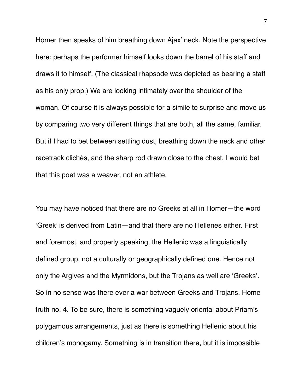Homer then speaks of him breathing down Ajax' neck. Note the perspective here: perhaps the performer himself looks down the barrel of his staff and draws it to himself. (The classical rhapsode was depicted as bearing a staff as his only prop.) We are looking intimately over the shoulder of the woman. Of course it is always possible for a simile to surprise and move us by comparing two very different things that are both, all the same, familiar. But if I had to bet between settling dust, breathing down the neck and other racetrack clichés, and the sharp rod drawn close to the chest, I would bet that this poet was a weaver, not an athlete.

You may have noticed that there are no Greeks at all in Homer—the word 'Greek' is derived from Latin—and that there are no Hellenes either. First and foremost, and properly speaking, the Hellenic was a linguistically defined group, not a culturally or geographically defined one. Hence not only the Argives and the Myrmidons, but the Trojans as well are 'Greeks'. So in no sense was there ever a war between Greeks and Trojans. Home truth no. 4. To be sure, there is something vaguely oriental about Priam's polygamous arrangements, just as there is something Hellenic about his children's monogamy. Something is in transition there, but it is impossible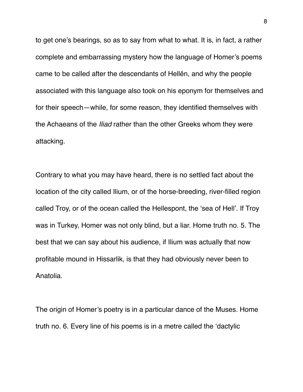to get one's bearings, so as to say from what to what. It is, in fact, a rather complete and embarrassing mystery how the language of Homer's poems came to be called after the descendants of Hellên, and why the people associated with this language also took on his eponym for themselves and for their speech—while, for some reason, they identified themselves with the Achaeans of the *Iliad* rather than the other Greeks whom they were attacking.

Contrary to what you may have heard, there is no settled fact about the location of the city called Ilium, or of the horse-breeding, river-filled region called Troy, or of the ocean called the Hellespont, the 'sea of Hell'. If Troy was in Turkey, Homer was not only blind, but a liar. Home truth no. 5. The best that we can say about his audience, if Ilium was actually that now profitable mound in Hissarlik, is that they had obviously never been to Anatolia.

The origin of Homer's poetry is in a particular dance of the Muses. Home truth no. 6. Every line of his poems is in a metre called the 'dactylic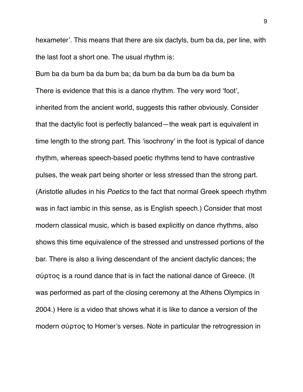hexameter'. This means that there are six dactyls, bum ba da, per line, with the last foot a short one. The usual rhythm is:

Bum ba da bum ba da bum ba; da bum ba da bum ba da bum ba There is evidence that this is a dance rhythm. The very word 'foot', inherited from the ancient world, suggests this rather obviously. Consider that the dactylic foot is perfectly balanced—the weak part is equivalent in time length to the strong part. This 'isochrony' in the foot is typical of dance rhythm, whereas speech-based poetic rhythms tend to have contrastive pulses, the weak part being shorter or less stressed than the strong part. (Aristotle alludes in his *Poetics* to the fact that normal Greek speech rhythm was in fact iambic in this sense, as is English speech.) Consider that most modern classical music, which is based explicitly on dance rhythms, also shows this time equivalence of the stressed and unstressed portions of the bar. There is also a living descendant of the ancient dactylic dances; the σύρτος is a round dance that is in fact the national dance of Greece. (It was performed as part of the closing ceremony at the Athens Olympics in 2004.) Here is a video that shows what it is like to dance a version of the modern σύρτος to Homer's verses. Note in particular the retrogression in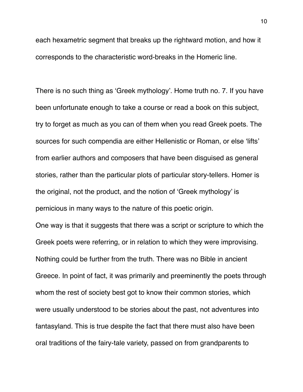each hexametric segment that breaks up the rightward motion, and how it corresponds to the characteristic word-breaks in the Homeric line.

There is no such thing as 'Greek mythology'. Home truth no. 7. If you have been unfortunate enough to take a course or read a book on this subject, try to forget as much as you can of them when you read Greek poets. The sources for such compendia are either Hellenistic or Roman, or else 'lifts' from earlier authors and composers that have been disguised as general stories, rather than the particular plots of particular story-tellers. Homer is the original, not the product, and the notion of 'Greek mythology' is pernicious in many ways to the nature of this poetic origin.

One way is that it suggests that there was a script or scripture to which the Greek poets were referring, or in relation to which they were improvising. Nothing could be further from the truth. There was no Bible in ancient Greece. In point of fact, it was primarily and preeminently the poets through whom the rest of society best got to know their common stories, which were usually understood to be stories about the past, not adventures into fantasyland. This is true despite the fact that there must also have been oral traditions of the fairy-tale variety, passed on from grandparents to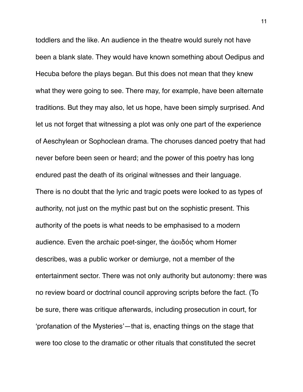toddlers and the like. An audience in the theatre would surely not have been a blank slate. They would have known something about Oedipus and Hecuba before the plays began. But this does not mean that they knew what they were going to see. There may, for example, have been alternate traditions. But they may also, let us hope, have been simply surprised. And let us not forget that witnessing a plot was only one part of the experience of Aeschylean or Sophoclean drama. The choruses danced poetry that had never before been seen or heard; and the power of this poetry has long endured past the death of its original witnesses and their language. There is no doubt that the lyric and tragic poets were looked to as types of authority, not just on the mythic past but on the sophistic present. This authority of the poets is what needs to be emphasised to a modern audience. Even the archaic poet-singer, the ἀοιδός whom Homer describes, was a public worker or demiurge, not a member of the entertainment sector. There was not only authority but autonomy: there was no review board or doctrinal council approving scripts before the fact. (To be sure, there was critique afterwards, including prosecution in court, for 'profanation of the Mysteries'—that is, enacting things on the stage that were too close to the dramatic or other rituals that constituted the secret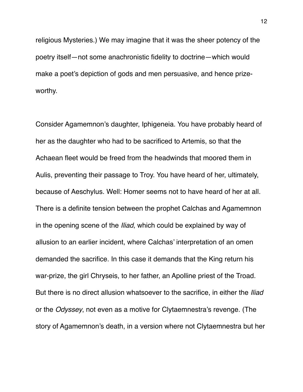religious Mysteries.) We may imagine that it was the sheer potency of the poetry itself—not some anachronistic fidelity to doctrine—which would make a poet's depiction of gods and men persuasive, and hence prizeworthy.

Consider Agamemnon's daughter, Iphigeneia. You have probably heard of her as the daughter who had to be sacrificed to Artemis, so that the Achaean fleet would be freed from the headwinds that moored them in Aulis, preventing their passage to Troy. You have heard of her, ultimately, because of Aeschylus. Well: Homer seems not to have heard of her at all. There is a definite tension between the prophet Calchas and Agamemnon in the opening scene of the *Iliad*, which could be explained by way of allusion to an earlier incident, where Calchas' interpretation of an omen demanded the sacrifice. In this case it demands that the King return his war-prize, the girl Chryseis, to her father, an Apolline priest of the Troad. But there is no direct allusion whatsoever to the sacrifice, in either the *Iliad* or the *Odyssey*, not even as a motive for Clytaemnestra's revenge. (The story of Agamemnon's death, in a version where not Clytaemnestra but her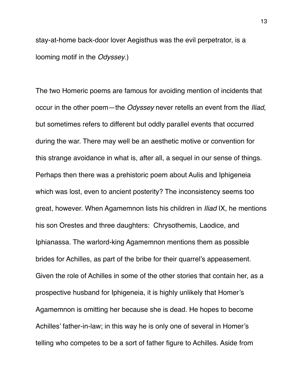stay-at-home back-door lover Aegisthus was the evil perpetrator, is a looming motif in the *Odyssey*.)

The two Homeric poems are famous for avoiding mention of incidents that occur in the other poem—the *Odyssey* never retells an event from the *Iliad*, but sometimes refers to different but oddly parallel events that occurred during the war. There may well be an aesthetic motive or convention for this strange avoidance in what is, after all, a sequel in our sense of things. Perhaps then there was a prehistoric poem about Aulis and Iphigeneia which was lost, even to ancient posterity? The inconsistency seems too great, however. When Agamemnon lists his children in *Iliad* IX, he mentions his son Orestes and three daughters: Chrysothemis, Laodice, and Iphianassa. The warlord-king Agamemnon mentions them as possible brides for Achilles, as part of the bribe for their quarrel's appeasement. Given the role of Achilles in some of the other stories that contain her, as a prospective husband for Iphigeneia, it is highly unlikely that Homer's Agamemnon is omitting her because she is dead. He hopes to become Achilles' father-in-law; in this way he is only one of several in Homer's telling who competes to be a sort of father figure to Achilles. Aside from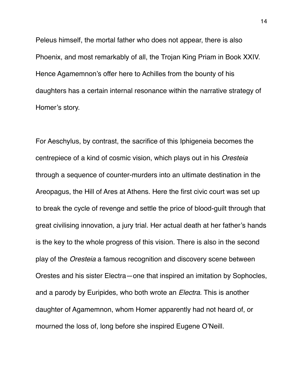Peleus himself, the mortal father who does not appear, there is also Phoenix, and most remarkably of all, the Trojan King Priam in Book XXIV. Hence Agamemnon's offer here to Achilles from the bounty of his daughters has a certain internal resonance within the narrative strategy of Homer's story.

For Aeschylus, by contrast, the sacrifice of this Iphigeneia becomes the centrepiece of a kind of cosmic vision, which plays out in his *Oresteia* through a sequence of counter-murders into an ultimate destination in the Areopagus, the Hill of Ares at Athens. Here the first civic court was set up to break the cycle of revenge and settle the price of blood-guilt through that great civilising innovation, a jury trial. Her actual death at her father's hands is the key to the whole progress of this vision. There is also in the second play of the *Oresteia* a famous recognition and discovery scene between Orestes and his sister Electra—one that inspired an imitation by Sophocles, and a parody by Euripides, who both wrote an *Electra*. This is another daughter of Agamemnon, whom Homer apparently had not heard of, or mourned the loss of, long before she inspired Eugene O'Neill.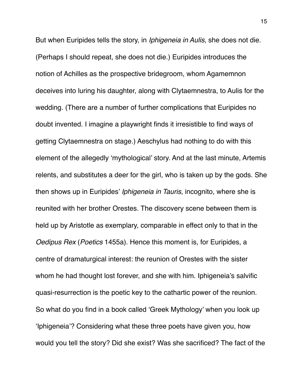But when Euripides tells the story, in *Iphigeneia in Aulis*, she does not die. (Perhaps I should repeat, she does not die.) Euripides introduces the notion of Achilles as the prospective bridegroom, whom Agamemnon deceives into luring his daughter, along with Clytaemnestra, to Aulis for the wedding. (There are a number of further complications that Euripides no doubt invented. I imagine a playwright finds it irresistible to find ways of getting Clytaemnestra on stage.) Aeschylus had nothing to do with this element of the allegedly 'mythological' story. And at the last minute, Artemis relents, and substitutes a deer for the girl, who is taken up by the gods. She then shows up in Euripides' *Iphigeneia in Tauris*, incognito, where she is reunited with her brother Orestes. The discovery scene between them is held up by Aristotle as exemplary, comparable in effect only to that in the *Oedipus Rex* (*Poetics* 1455a). Hence this moment is, for Euripides, a centre of dramaturgical interest: the reunion of Orestes with the sister whom he had thought lost forever, and she with him. Iphigeneia's salvific quasi-resurrection is the poetic key to the cathartic power of the reunion. So what do you find in a book called 'Greek Mythology' when you look up 'Iphigeneia'? Considering what these three poets have given you, how would you tell the story? Did she exist? Was she sacrificed? The fact of the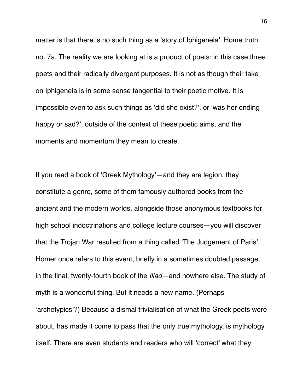matter is that there is no such thing as a 'story of Iphigeneia'. Home truth no. 7a. The reality we are looking at is a product of poets: in this case three poets and their radically divergent purposes. It is not as though their take on Iphigeneia is in some sense tangential to their poetic motive. It is impossible even to ask such things as 'did she exist?', or 'was her ending happy or sad?', outside of the context of these poetic aims, and the moments and momentum they mean to create.

If you read a book of 'Greek Mythology'—and they are legion, they constitute a genre, some of them famously authored books from the ancient and the modern worlds, alongside those anonymous textbooks for high school indoctrinations and college lecture courses—you will discover that the Trojan War resulted from a thing called 'The Judgement of Paris'. Homer once refers to this event, briefly in a sometimes doubted passage, in the final, twenty-fourth book of the *Iliad*—and nowhere else. The study of myth is a wonderful thing. But it needs a new name. (Perhaps 'archetypics'?) Because a dismal trivialisation of what the Greek poets were about, has made it come to pass that the only true mythology, is mythology itself. There are even students and readers who will 'correct' what they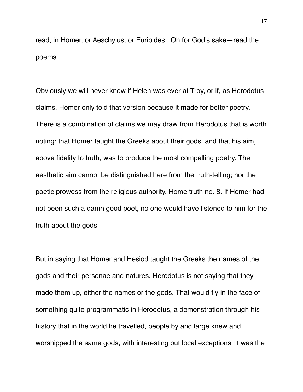read, in Homer, or Aeschylus, or Euripides. Oh for God's sake—read the poems.

Obviously we will never know if Helen was ever at Troy, or if, as Herodotus claims, Homer only told that version because it made for better poetry. There is a combination of claims we may draw from Herodotus that is worth noting: that Homer taught the Greeks about their gods, and that his aim, above fidelity to truth, was to produce the most compelling poetry. The aesthetic aim cannot be distinguished here from the truth-telling; nor the poetic prowess from the religious authority. Home truth no. 8. If Homer had not been such a damn good poet, no one would have listened to him for the truth about the gods.

But in saying that Homer and Hesiod taught the Greeks the names of the gods and their personae and natures, Herodotus is not saying that they made them up, either the names or the gods. That would fly in the face of something quite programmatic in Herodotus, a demonstration through his history that in the world he travelled, people by and large knew and worshipped the same gods, with interesting but local exceptions. It was the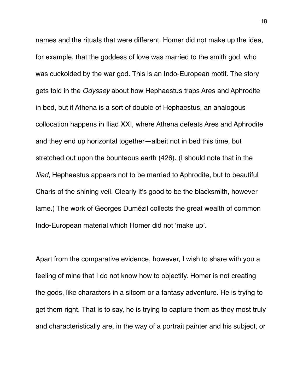names and the rituals that were different. Homer did not make up the idea, for example, that the goddess of love was married to the smith god, who was cuckolded by the war god. This is an Indo-European motif. The story gets told in the *Odyssey* about how Hephaestus traps Ares and Aphrodite in bed, but if Athena is a sort of double of Hephaestus, an analogous collocation happens in Iliad XXI, where Athena defeats Ares and Aphrodite and they end up horizontal together—albeit not in bed this time, but stretched out upon the bounteous earth (426). (I should note that in the *Iliad*, Hephaestus appears not to be married to Aphrodite, but to beautiful Charis of the shining veil. Clearly it's good to be the blacksmith, however lame.) The work of Georges Dumézil collects the great wealth of common Indo-European material which Homer did not 'make up'.

Apart from the comparative evidence, however, I wish to share with you a feeling of mine that I do not know how to objectify. Homer is not creating the gods, like characters in a sitcom or a fantasy adventure. He is trying to get them right. That is to say, he is trying to capture them as they most truly and characteristically are, in the way of a portrait painter and his subject, or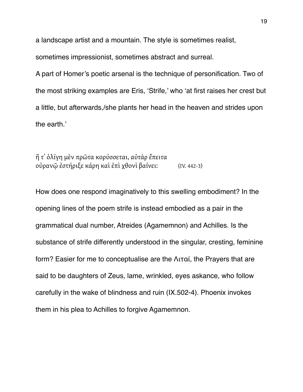a landscape artist and a mountain. The style is sometimes realist,

sometimes impressionist, sometimes abstract and surreal.

A part of Homer's poetic arsenal is the technique of personification. Two of the most striking examples are Eris, 'Strife,' who 'at first raises her crest but a little, but afterwards,/she plants her head in the heaven and strides upon the earth.'

[ἥ](http://www.perseus.tufts.edu/hopper/morph?l=h%28%2F&la=greek&can=h%28%2F0&prior=te) [τ᾽](http://www.perseus.tufts.edu/hopper/morph?l=t%27&la=greek&can=t%273&prior=h(/) [ὀλίγη](http://www.perseus.tufts.edu/hopper/morph?l=o%29li%2Fgh&la=greek&can=o%29li%2Fgh0&prior=t) [μὲν](http://www.perseus.tufts.edu/hopper/morph?l=me%5Cn&la=greek&can=me%5Cn2&prior=o)li/gh) [πρῶτα](http://www.perseus.tufts.edu/hopper/morph?l=prw%3Dta&la=greek&can=prw%3Dta1&prior=me%5Cn) [κορύσσεται](http://www.perseus.tufts.edu/hopper/morph?l=koru%2Fssetai&la=greek&can=koru%2Fssetai1&prior=prw=ta), [αὐτὰρ](http://www.perseus.tufts.edu/hopper/morph?l=au%29ta%5Cr&la=greek&can=au%29ta%5Cr1&prior=koru/ssetai) [ἔπειτα](http://www.perseus.tufts.edu/hopper/morph?l=e%29%2Fpeita&la=greek&can=e%29%2Fpeita1&prior=au)ta%5Cr) [οὐρανῷ](http://www.perseus.tufts.edu/hopper/morph?l=ou%29ranw%3D%7C&la=greek&can=ou%29ranw%3D%7C0&prior=e)/peita) [ἐστήριξε](http://www.perseus.tufts.edu/hopper/morph?l=e%29sth%2Frice&la=greek&can=e%29sth%2Frice0&prior=ou)ranw=%7C) [κάρη](http://www.perseus.tufts.edu/hopper/morph?l=ka%2Frh&la=greek&can=ka%2Frh0&prior=e)sth/rice) [καὶ](http://www.perseus.tufts.edu/hopper/morph?l=kai%5C&la=greek&can=kai%5C5&prior=ka/rh) [ἐπὶ](http://www.perseus.tufts.edu/hopper/morph?l=e%29pi%5C&la=greek&can=e%29pi%5C1&prior=kai%5C) [χθονὶ](http://www.perseus.tufts.edu/hopper/morph?l=xqoni%5C&la=greek&can=xqoni%5C0&prior=e)pi%5C) [βαίνει](http://www.perseus.tufts.edu/hopper/morph?l=bai%2Fnei&la=greek&can=bai%2Fnei0&prior=xqoni%5C): (IV. 442-3)

How does one respond imaginatively to this swelling embodiment? In the opening lines of the poem strife is instead embodied as a pair in the grammatical dual number, Atreides (Agamemnon) and Achilles. Is the substance of strife differently understood in the singular, cresting, feminine form? Easier for me to conceptualise are the Λιταί, the Prayers that are said to be daughters of Zeus, lame, wrinkled, eyes askance, who follow carefully in the wake of blindness and ruin (IX.502-4). Phoenix invokes them in his plea to Achilles to forgive Agamemnon.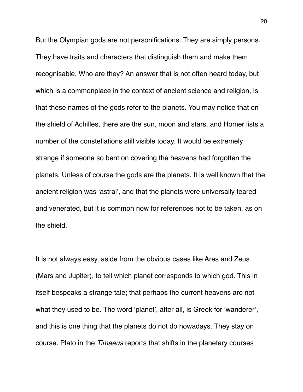But the Olympian gods are not personifications. They are simply persons. They have traits and characters that distinguish them and make them recognisable. Who are they? An answer that is not often heard today, but which is a commonplace in the context of ancient science and religion, is that these names of the gods refer to the planets. You may notice that on the shield of Achilles, there are the sun, moon and stars, and Homer lists a number of the constellations still visible today. It would be extremely strange if someone so bent on covering the heavens had forgotten the planets. Unless of course the gods are the planets. It is well known that the ancient religion was 'astral', and that the planets were universally feared and venerated, but it is common now for references not to be taken, as on the shield.

It is not always easy, aside from the obvious cases like Ares and Zeus (Mars and Jupiter), to tell which planet corresponds to which god. This in itself bespeaks a strange tale; that perhaps the current heavens are not what they used to be. The word 'planet', after all, is Greek for 'wanderer', and this is one thing that the planets do not do nowadays. They stay on course. Plato in the *Timaeus* reports that shifts in the planetary courses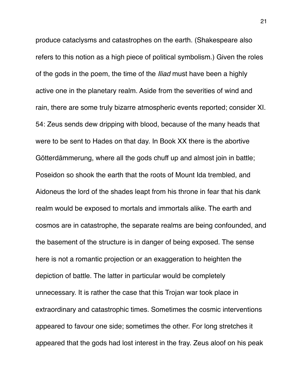produce cataclysms and catastrophes on the earth. (Shakespeare also refers to this notion as a high piece of political symbolism.) Given the roles of the gods in the poem, the time of the *Iliad* must have been a highly active one in the planetary realm. Aside from the severities of wind and rain, there are some truly bizarre atmospheric events reported; consider XI. 54: Zeus sends dew dripping with blood, because of the many heads that were to be sent to Hades on that day. In Book XX there is the abortive Götterdämmerung, where all the gods chuff up and almost join in battle; Poseidon so shook the earth that the roots of Mount Ida trembled, and Aidoneus the lord of the shades leapt from his throne in fear that his dank realm would be exposed to mortals and immortals alike. The earth and cosmos are in catastrophe, the separate realms are being confounded, and the basement of the structure is in danger of being exposed. The sense here is not a romantic projection or an exaggeration to heighten the depiction of battle. The latter in particular would be completely unnecessary. It is rather the case that this Trojan war took place in extraordinary and catastrophic times. Sometimes the cosmic interventions appeared to favour one side; sometimes the other. For long stretches it appeared that the gods had lost interest in the fray. Zeus aloof on his peak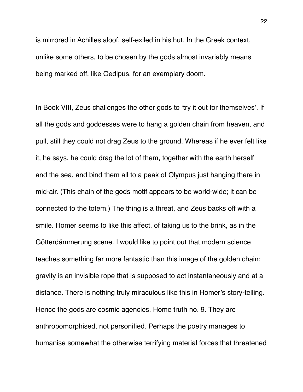is mirrored in Achilles aloof, self-exiled in his hut. In the Greek context, unlike some others, to be chosen by the gods almost invariably means being marked off, like Oedipus, for an exemplary doom.

In Book VIII, Zeus challenges the other gods to 'try it out for themselves'. If all the gods and goddesses were to hang a golden chain from heaven, and pull, still they could not drag Zeus to the ground. Whereas if he ever felt like it, he says, he could drag the lot of them, together with the earth herself and the sea, and bind them all to a peak of Olympus just hanging there in mid-air. (This chain of the gods motif appears to be world-wide; it can be connected to the totem.) The thing is a threat, and Zeus backs off with a smile. Homer seems to like this affect, of taking us to the brink, as in the Götterdämmerung scene. I would like to point out that modern science teaches something far more fantastic than this image of the golden chain: gravity is an invisible rope that is supposed to act instantaneously and at a distance. There is nothing truly miraculous like this in Homer's story-telling. Hence the gods are cosmic agencies. Home truth no. 9. They are anthropomorphised, not personified. Perhaps the poetry manages to humanise somewhat the otherwise terrifying material forces that threatened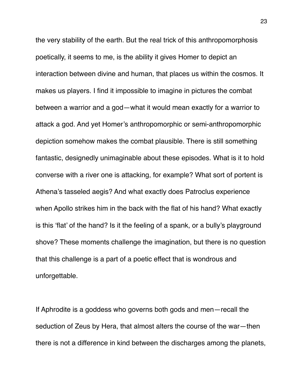the very stability of the earth. But the real trick of this anthropomorphosis poetically, it seems to me, is the ability it gives Homer to depict an interaction between divine and human, that places us within the cosmos. It makes us players. I find it impossible to imagine in pictures the combat between a warrior and a god—what it would mean exactly for a warrior to attack a god. And yet Homer's anthropomorphic or semi-anthropomorphic depiction somehow makes the combat plausible. There is still something fantastic, designedly unimaginable about these episodes. What is it to hold converse with a river one is attacking, for example? What sort of portent is Athena's tasseled aegis? And what exactly does Patroclus experience when Apollo strikes him in the back with the flat of his hand? What exactly is this 'flat' of the hand? Is it the feeling of a spank, or a bully's playground shove? These moments challenge the imagination, but there is no question that this challenge is a part of a poetic effect that is wondrous and unforgettable.

If Aphrodite is a goddess who governs both gods and men—recall the seduction of Zeus by Hera, that almost alters the course of the war—then there is not a difference in kind between the discharges among the planets,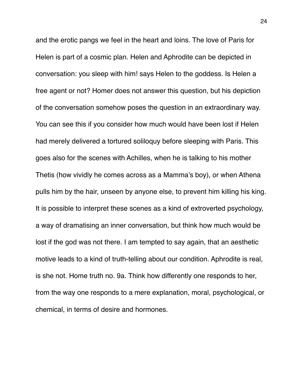and the erotic pangs we feel in the heart and loins. The love of Paris for Helen is part of a cosmic plan. Helen and Aphrodite can be depicted in conversation: you sleep with him! says Helen to the goddess. Is Helen a free agent or not? Homer does not answer this question, but his depiction of the conversation somehow poses the question in an extraordinary way. You can see this if you consider how much would have been lost if Helen had merely delivered a tortured soliloquy before sleeping with Paris. This goes also for the scenes with Achilles, when he is talking to his mother Thetis (how vividly he comes across as a Mamma's boy), or when Athena pulls him by the hair, unseen by anyone else, to prevent him killing his king. It is possible to interpret these scenes as a kind of extroverted psychology, a way of dramatising an inner conversation, but think how much would be lost if the god was not there. I am tempted to say again, that an aesthetic motive leads to a kind of truth-telling about our condition. Aphrodite is real, is she not. Home truth no. 9a. Think how differently one responds to her, from the way one responds to a mere explanation, moral, psychological, or chemical, in terms of desire and hormones.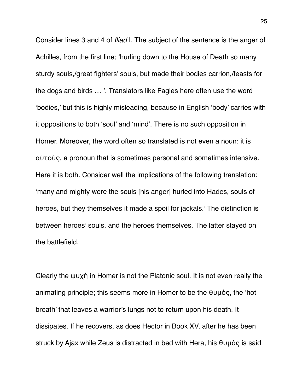Consider lines 3 and 4 of *Iliad* I. The subject of the sentence is the anger of Achilles, from the first line; 'hurling down to the House of Death so many sturdy souls,/great fighters' souls, but made their bodies carrion,/feasts for the dogs and birds … '. Translators like Fagles here often use the word 'bodies,' but this is highly misleading, because in English 'body' carries with it oppositions to both 'soul' and 'mind'. There is no such opposition in Homer. Moreover, the word often so translated is not even a noun: it is αὐτούς, a pronoun that is sometimes personal and sometimes intensive. Here it is both. Consider well the implications of the following translation: 'many and mighty were the souls [his anger] hurled into Hades, souls of heroes, but they themselves it made a spoil for jackals.' The distinction is between heroes' souls, and the heroes themselves. The latter stayed on the battlefield.

Clearly the ψυχή in Homer is not the Platonic soul. It is not even really the animating principle; this seems more in Homer to be the θυμός, the 'hot breath' that leaves a warrior's lungs not to return upon his death. It dissipates. If he recovers, as does Hector in Book XV, after he has been struck by Ajax while Zeus is distracted in bed with Hera, his θυμός is said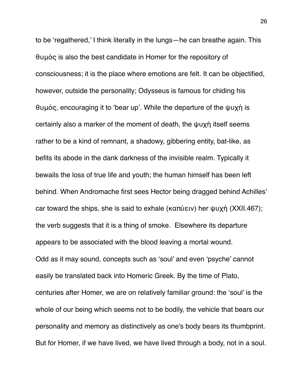to be 'regathered,' I think literally in the lungs—he can breathe again. This θυμός is also the best candidate in Homer for the repository of consciousness; it is the place where emotions are felt. It can be objectified, however, outside the personality; Odysseus is famous for chiding his θυμός, encouraging it to 'bear up'. While the departure of the ψυχή is certainly also a marker of the moment of death, the ψυχή itself seems rather to be a kind of remnant, a shadowy, gibbering entity, bat-like, as befits its abode in the dank darkness of the invisible realm. Typically it bewails the loss of true life and youth; the human himself has been left behind. When Andromache first sees Hector being dragged behind Achilles' car toward the ships, she is said to exhale (καπύειν) her ψυχή (XXII.467); the verb suggests that it is a thing of smoke. Elsewhere its departure appears to be associated with the blood leaving a mortal wound. Odd as it may sound, concepts such as 'soul' and even 'psyche' cannot easily be translated back into Homeric Greek. By the time of Plato, centuries after Homer, we are on relatively familiar ground: the 'soul' is the whole of our being which seems not to be bodily, the vehicle that bears our personality and memory as distinctively as one's body bears its thumbprint. But for Homer, if we have lived, we have lived through a body, not in a soul.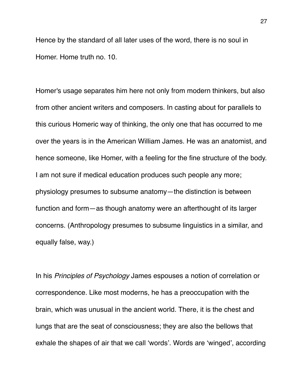Hence by the standard of all later uses of the word, there is no soul in Homer. Home truth no. 10.

Homer's usage separates him here not only from modern thinkers, but also from other ancient writers and composers. In casting about for parallels to this curious Homeric way of thinking, the only one that has occurred to me over the years is in the American William James. He was an anatomist, and hence someone, like Homer, with a feeling for the fine structure of the body. I am not sure if medical education produces such people any more; physiology presumes to subsume anatomy—the distinction is between function and form—as though anatomy were an afterthought of its larger concerns. (Anthropology presumes to subsume linguistics in a similar, and equally false, way.)

In his *Principles of Psychology* James espouses a notion of correlation or correspondence. Like most moderns, he has a preoccupation with the brain, which was unusual in the ancient world. There, it is the chest and lungs that are the seat of consciousness; they are also the bellows that exhale the shapes of air that we call 'words'. Words are 'winged', according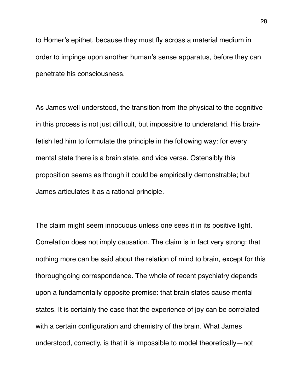to Homer's epithet, because they must fly across a material medium in order to impinge upon another human's sense apparatus, before they can penetrate his consciousness.

As James well understood, the transition from the physical to the cognitive in this process is not just difficult, but impossible to understand. His brainfetish led him to formulate the principle in the following way: for every mental state there is a brain state, and vice versa. Ostensibly this proposition seems as though it could be empirically demonstrable; but James articulates it as a rational principle.

The claim might seem innocuous unless one sees it in its positive light. Correlation does not imply causation. The claim is in fact very strong: that nothing more can be said about the relation of mind to brain, except for this thoroughgoing correspondence. The whole of recent psychiatry depends upon a fundamentally opposite premise: that brain states cause mental states. It is certainly the case that the experience of joy can be correlated with a certain configuration and chemistry of the brain. What James understood, correctly, is that it is impossible to model theoretically—not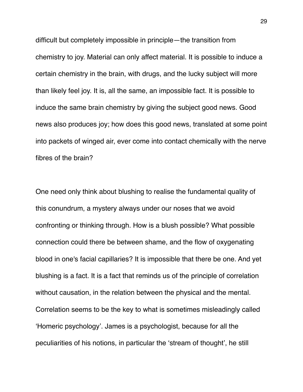difficult but completely impossible in principle—the transition from chemistry to joy. Material can only affect material. It is possible to induce a certain chemistry in the brain, with drugs, and the lucky subject will more than likely feel joy. It is, all the same, an impossible fact. It is possible to induce the same brain chemistry by giving the subject good news. Good news also produces joy; how does this good news, translated at some point into packets of winged air, ever come into contact chemically with the nerve fibres of the brain?

One need only think about blushing to realise the fundamental quality of this conundrum, a mystery always under our noses that we avoid confronting or thinking through. How is a blush possible? What possible connection could there be between shame, and the flow of oxygenating blood in one's facial capillaries? It is impossible that there be one. And yet blushing is a fact. It is a fact that reminds us of the principle of correlation without causation, in the relation between the physical and the mental. Correlation seems to be the key to what is sometimes misleadingly called 'Homeric psychology'. James is a psychologist, because for all the peculiarities of his notions, in particular the 'stream of thought', he still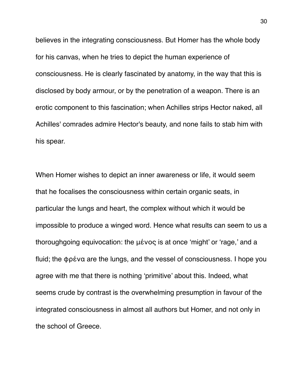believes in the integrating consciousness. But Homer has the whole body for his canvas, when he tries to depict the human experience of consciousness. He is clearly fascinated by anatomy, in the way that this is disclosed by body armour, or by the penetration of a weapon. There is an erotic component to this fascination; when Achilles strips Hector naked, all Achilles' comrades admire Hector's beauty, and none fails to stab him with his spear.

When Homer wishes to depict an inner awareness or life, it would seem that he focalises the consciousness within certain organic seats, in particular the lungs and heart, the complex without which it would be impossible to produce a winged word. Hence what results can seem to us a thoroughgoing equivocation: the μένος is at once 'might' or 'rage,' and a fluid; the φρένα are the lungs, and the vessel of consciousness. I hope you agree with me that there is nothing 'primitive' about this. Indeed, what seems crude by contrast is the overwhelming presumption in favour of the integrated consciousness in almost all authors but Homer, and not only in the school of Greece.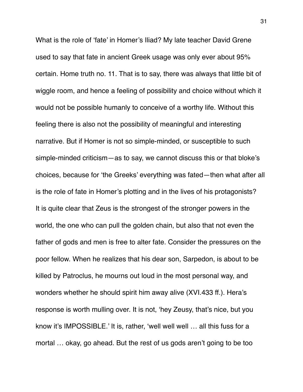What is the role of 'fate' in Homer's Iliad? My late teacher David Grene used to say that fate in ancient Greek usage was only ever about 95% certain. Home truth no. 11. That is to say, there was always that little bit of wiggle room, and hence a feeling of possibility and choice without which it would not be possible humanly to conceive of a worthy life. Without this feeling there is also not the possibility of meaningful and interesting narrative. But if Homer is not so simple-minded, or susceptible to such simple-minded criticism—as to say, we cannot discuss this or that bloke's choices, because for 'the Greeks' everything was fated—then what after all is the role of fate in Homer's plotting and in the lives of his protagonists? It is quite clear that Zeus is the strongest of the stronger powers in the world, the one who can pull the golden chain, but also that not even the father of gods and men is free to alter fate. Consider the pressures on the poor fellow. When he realizes that his dear son, Sarpedon, is about to be killed by Patroclus, he mourns out loud in the most personal way, and wonders whether he should spirit him away alive (XVI.433 ff.). Hera's response is worth mulling over. It is not, 'hey Zeusy, that's nice, but you know it's IMPOSSIBLE.' It is, rather, 'well well well … all this fuss for a mortal … okay, go ahead. But the rest of us gods aren't going to be too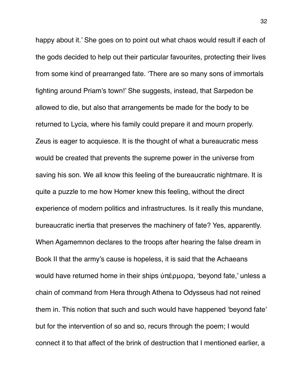happy about it.' She goes on to point out what chaos would result if each of the gods decided to help out their particular favourites, protecting their lives from some kind of prearranged fate. 'There are so many sons of immortals fighting around Priam's town!' She suggests, instead, that Sarpedon be allowed to die, but also that arrangements be made for the body to be returned to Lycia, where his family could prepare it and mourn properly. Zeus is eager to acquiesce. It is the thought of what a bureaucratic mess would be created that prevents the supreme power in the universe from saving his son. We all know this feeling of the bureaucratic nightmare. It is quite a puzzle to me how Homer knew this feeling, without the direct experience of modern politics and infrastructures. Is it really this mundane, bureaucratic inertia that preserves the machinery of fate? Yes, apparently. When Agamemnon declares to the troops after hearing the false dream in Book II that the army's cause is hopeless, it is said that the Achaeans would have returned home in their ships ὑπέρμορα, 'beyond fate,' unless a chain of command from Hera through Athena to Odysseus had not reined them in. This notion that such and such would have happened 'beyond fate' but for the intervention of so and so, recurs through the poem; I would connect it to that affect of the brink of destruction that I mentioned earlier, a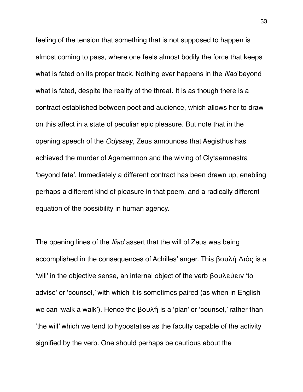feeling of the tension that something that is not supposed to happen is almost coming to pass, where one feels almost bodily the force that keeps what is fated on its proper track. Nothing ever happens in the *Iliad* beyond what is fated, despite the reality of the threat. It is as though there is a contract established between poet and audience, which allows her to draw on this affect in a state of peculiar epic pleasure. But note that in the opening speech of the *Odyssey*, Zeus announces that Aegisthus has achieved the murder of Agamemnon and the wiving of Clytaemnestra 'beyond fate'. Immediately a different contract has been drawn up, enabling perhaps a different kind of pleasure in that poem, and a radically different equation of the possibility in human agency.

The opening lines of the *Iliad* assert that the will of Zeus was being accomplished in the consequences of Achilles' anger. This βουλὴ Διός is a 'will' in the objective sense, an internal object of the verb βουλεύειν 'to advise' or 'counsel,' with which it is sometimes paired (as when in English we can 'walk a walk'). Hence the βουλή is a 'plan' or 'counsel,' rather than 'the will' which we tend to hypostatise as the faculty capable of the activity signified by the verb. One should perhaps be cautious about the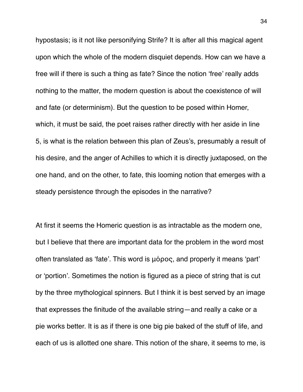hypostasis; is it not like personifying Strife? It is after all this magical agent upon which the whole of the modern disquiet depends. How can we have a free will if there is such a thing as fate? Since the notion 'free' really adds nothing to the matter, the modern question is about the coexistence of will and fate (or determinism). But the question to be posed within Homer, which, it must be said, the poet raises rather directly with her aside in line 5, is what is the relation between this plan of Zeus's, presumably a result of his desire, and the anger of Achilles to which it is directly juxtaposed, on the one hand, and on the other, to fate, this looming notion that emerges with a steady persistence through the episodes in the narrative?

At first it seems the Homeric question is as intractable as the modern one, but I believe that there are important data for the problem in the word most often translated as 'fate'. This word is μόρος, and properly it means 'part' or 'portion'. Sometimes the notion is figured as a piece of string that is cut by the three mythological spinners. But I think it is best served by an image that expresses the finitude of the available string—and really a cake or a pie works better. It is as if there is one big pie baked of the stuff of life, and each of us is allotted one share. This notion of the share, it seems to me, is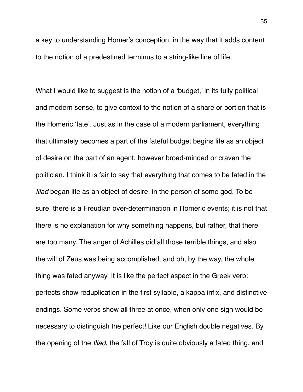a key to understanding Homer's conception, in the way that it adds content to the notion of a predestined terminus to a string-like line of life.

What I would like to suggest is the notion of a 'budget,' in its fully political and modern sense, to give context to the notion of a share or portion that is the Homeric 'fate'. Just as in the case of a modern parliament, everything that ultimately becomes a part of the fateful budget begins life as an object of desire on the part of an agent, however broad-minded or craven the politician. I think it is fair to say that everything that comes to be fated in the *Iliad* began life as an object of desire, in the person of some god. To be sure, there is a Freudian over-determination in Homeric events; it is not that there is no explanation for why something happens, but rather, that there are too many. The anger of Achilles did all those terrible things, and also the will of Zeus was being accomplished, and oh, by the way, the whole thing was fated anyway. It is like the perfect aspect in the Greek verb: perfects show reduplication in the first syllable, a kappa infix, and distinctive endings. Some verbs show all three at once, when only one sign would be necessary to distinguish the perfect! Like our English double negatives. By the opening of the *Iliad*, the fall of Troy is quite obviously a fated thing, and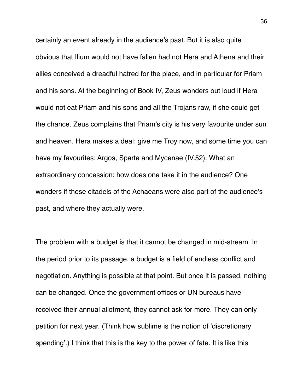certainly an event already in the audience's past. But it is also quite obvious that Ilium would not have fallen had not Hera and Athena and their allies conceived a dreadful hatred for the place, and in particular for Priam and his sons. At the beginning of Book IV, Zeus wonders out loud if Hera would not eat Priam and his sons and all the Trojans raw, if she could get the chance. Zeus complains that Priam's city is his very favourite under sun and heaven. Hera makes a deal: give me Troy now, and some time you can have my favourites: Argos, Sparta and Mycenae (IV.52). What an extraordinary concession; how does one take it in the audience? One wonders if these citadels of the Achaeans were also part of the audience's past, and where they actually were.

The problem with a budget is that it cannot be changed in mid-stream. In the period prior to its passage, a budget is a field of endless conflict and negotiation. Anything is possible at that point. But once it is passed, nothing can be changed. Once the government offices or UN bureaus have received their annual allotment, they cannot ask for more. They can only petition for next year. (Think how sublime is the notion of 'discretionary spending'.) I think that this is the key to the power of fate. It is like this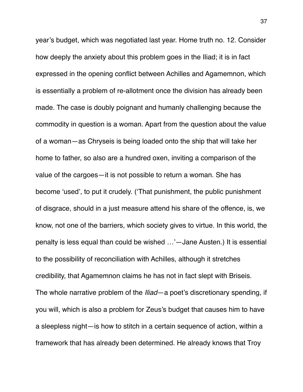year's budget, which was negotiated last year. Home truth no. 12. Consider how deeply the anxiety about this problem goes in the Iliad; it is in fact expressed in the opening conflict between Achilles and Agamemnon, which is essentially a problem of re-allotment once the division has already been made. The case is doubly poignant and humanly challenging because the commodity in question is a woman. Apart from the question about the value of a woman—as Chryseis is being loaded onto the ship that will take her home to father, so also are a hundred oxen, inviting a comparison of the value of the cargoes—it is not possible to return a woman. She has become 'used', to put it crudely. ('That punishment, the public punishment of disgrace, should in a just measure attend his share of the offence, is, we know, not one of the barriers, which society gives to virtue. In this world, the penalty is less equal than could be wished …'—Jane Austen.) It is essential to the possibility of reconciliation with Achilles, although it stretches credibility, that Agamemnon claims he has not in fact slept with Briseis. The whole narrative problem of the *Iliad*—a poet's discretionary spending, if you will, which is also a problem for Zeus's budget that causes him to have a sleepless night—is how to stitch in a certain sequence of action, within a framework that has already been determined. He already knows that Troy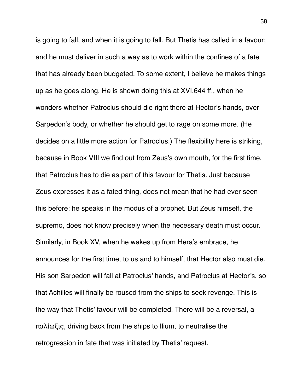is going to fall, and when it is going to fall. But Thetis has called in a favour; and he must deliver in such a way as to work within the confines of a fate that has already been budgeted. To some extent, I believe he makes things up as he goes along. He is shown doing this at XVI.644 ff., when he wonders whether Patroclus should die right there at Hector's hands, over Sarpedon's body, or whether he should get to rage on some more. (He decides on a little more action for Patroclus.) The flexibility here is striking, because in Book VIII we find out from Zeus's own mouth, for the first time, that Patroclus has to die as part of this favour for Thetis. Just because Zeus expresses it as a fated thing, does not mean that he had ever seen this before: he speaks in the modus of a prophet. But Zeus himself, the supremo, does not know precisely when the necessary death must occur. Similarly, in Book XV, when he wakes up from Hera's embrace, he announces for the first time, to us and to himself, that Hector also must die. His son Sarpedon will fall at Patroclus' hands, and Patroclus at Hector's, so that Achilles will finally be roused from the ships to seek revenge. This is the way that Thetis' favour will be completed. There will be a reversal, a παλίωξις, driving back from the ships to Ilium, to neutralise the retrogression in fate that was initiated by Thetis' request.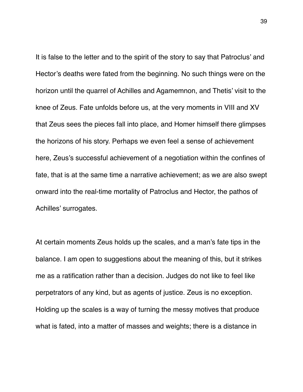It is false to the letter and to the spirit of the story to say that Patroclus' and Hector's deaths were fated from the beginning. No such things were on the horizon until the quarrel of Achilles and Agamemnon, and Thetis' visit to the knee of Zeus. Fate unfolds before us, at the very moments in VIII and XV that Zeus sees the pieces fall into place, and Homer himself there glimpses the horizons of his story. Perhaps we even feel a sense of achievement here, Zeus's successful achievement of a negotiation within the confines of fate, that is at the same time a narrative achievement; as we are also swept onward into the real-time mortality of Patroclus and Hector, the pathos of Achilles' surrogates.

At certain moments Zeus holds up the scales, and a man's fate tips in the balance. I am open to suggestions about the meaning of this, but it strikes me as a ratification rather than a decision. Judges do not like to feel like perpetrators of any kind, but as agents of justice. Zeus is no exception. Holding up the scales is a way of turning the messy motives that produce what is fated, into a matter of masses and weights; there is a distance in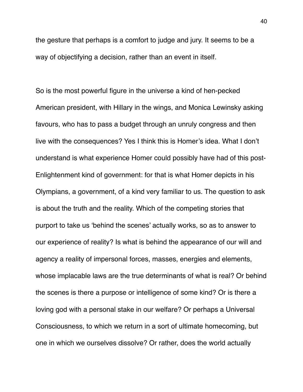the gesture that perhaps is a comfort to judge and jury. It seems to be a way of objectifying a decision, rather than an event in itself.

So is the most powerful figure in the universe a kind of hen-pecked American president, with Hillary in the wings, and Monica Lewinsky asking favours, who has to pass a budget through an unruly congress and then live with the consequences? Yes I think this is Homer's idea. What I don't understand is what experience Homer could possibly have had of this post-Enlightenment kind of government: for that is what Homer depicts in his Olympians, a government, of a kind very familiar to us. The question to ask is about the truth and the reality. Which of the competing stories that purport to take us 'behind the scenes' actually works, so as to answer to our experience of reality? Is what is behind the appearance of our will and agency a reality of impersonal forces, masses, energies and elements, whose implacable laws are the true determinants of what is real? Or behind the scenes is there a purpose or intelligence of some kind? Or is there a loving god with a personal stake in our welfare? Or perhaps a Universal Consciousness, to which we return in a sort of ultimate homecoming, but one in which we ourselves dissolve? Or rather, does the world actually